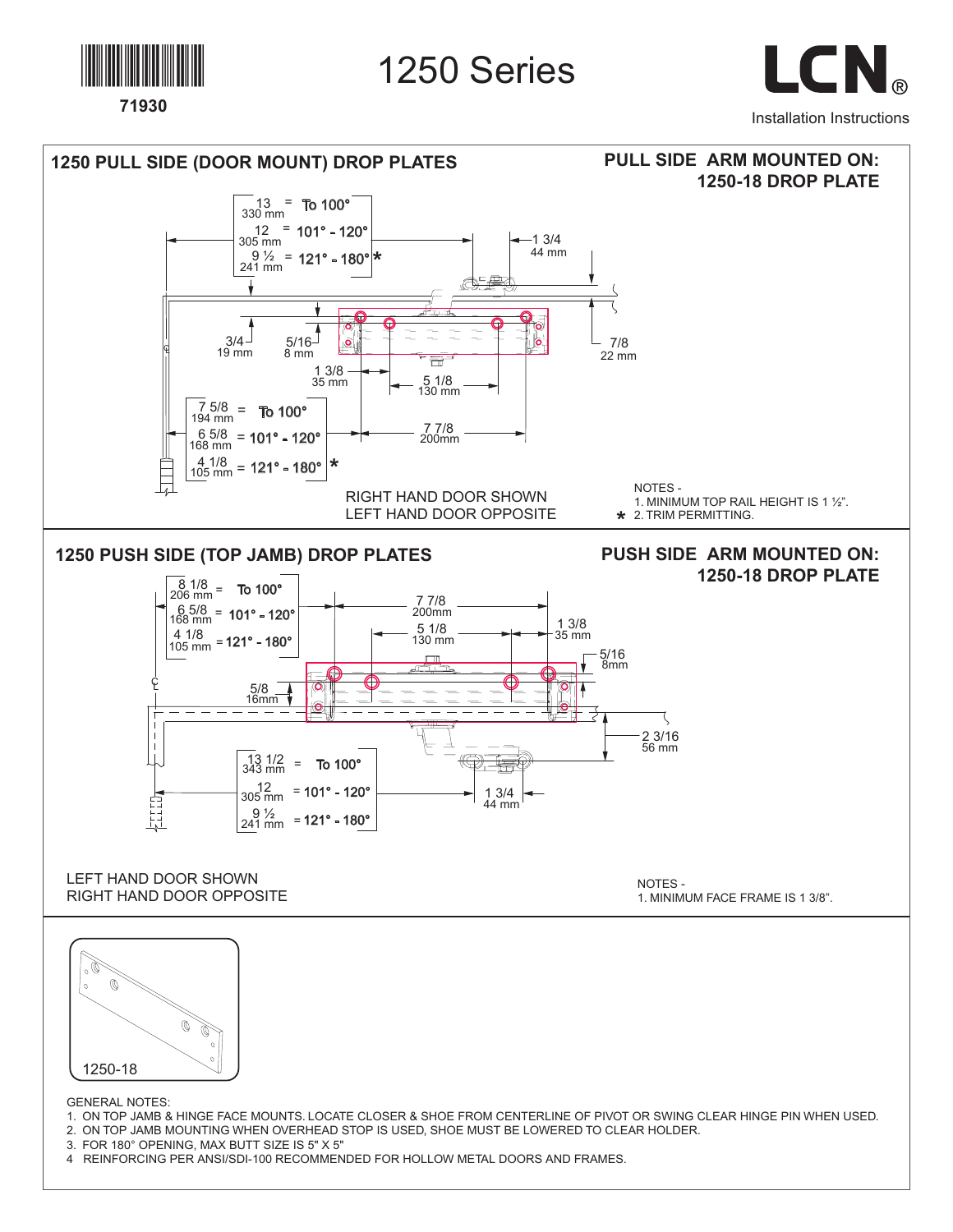

1250 Series

LCN. Installation Instructions





GENERAL NOTES:

- 1. ON TOP JAMB & HINGE FACE MOUNTS. LOCATE CLOSER & SHOE FROM CENTERLINE OF PIVOT OR SWING CLEAR HINGE PIN WHEN USED.
- 2. ON TOP JAMB MOUNTING WHEN OVERHEAD STOP IS USED, SHOE MUST BE LOWERED TO CLEAR HOLDER.

3. FOR 180° OPENING, MAX BUTT SIZE IS 5" X 5"

4 REINFORCING PER ANSI/SDI-100 RECOMMENDED FOR HOLLOW METAL DOORS AND FRAMES.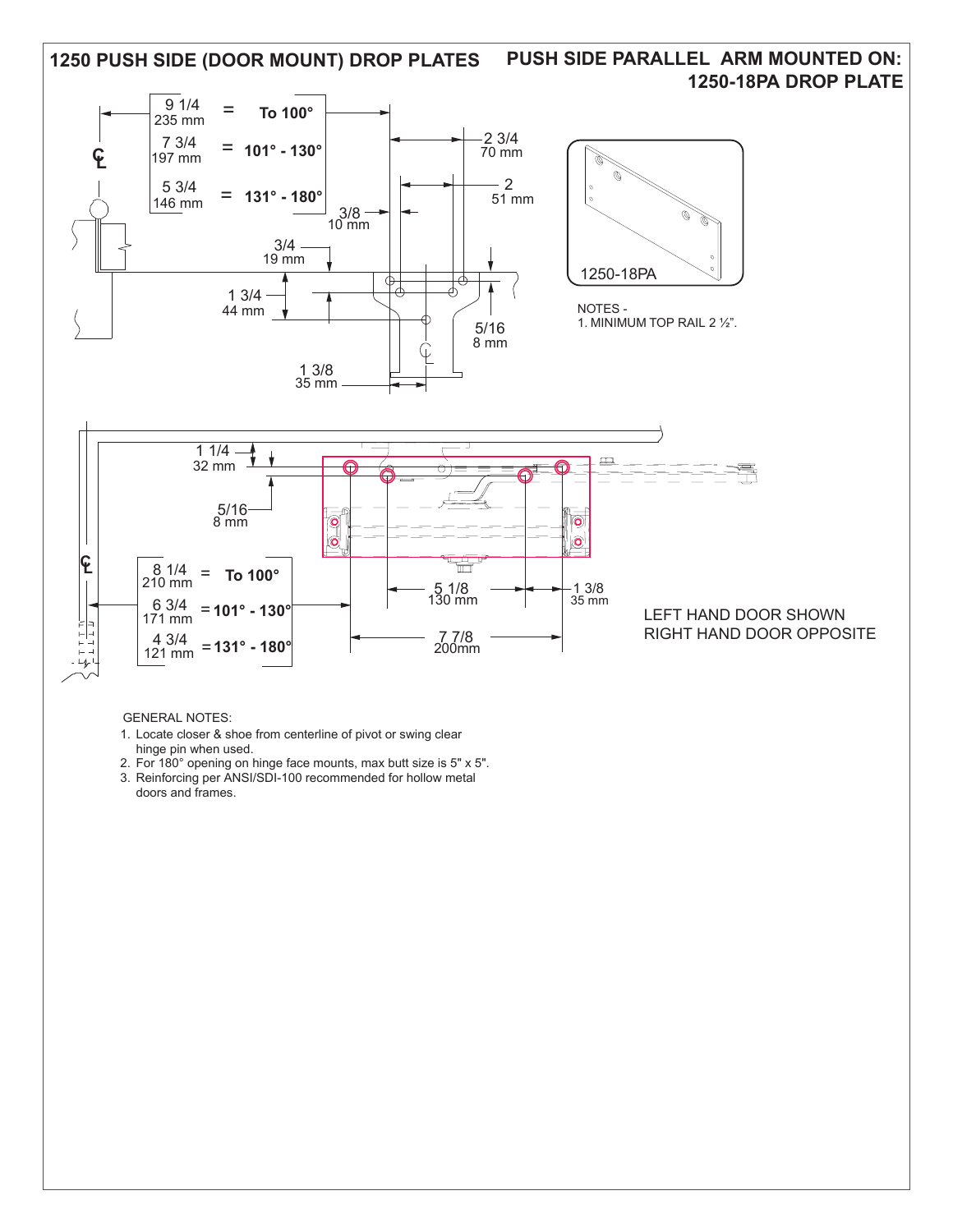

## GENERAL NOTES:

- 1. Locate closer & shoe from centerline of pivot or swing clear hinge pin when used.
- 2. For 180° opening on hinge face mounts, max butt size is 5" x 5". 3. Reinforcing per ANSI/SDI-100 recommended for hollow metal doors and frames.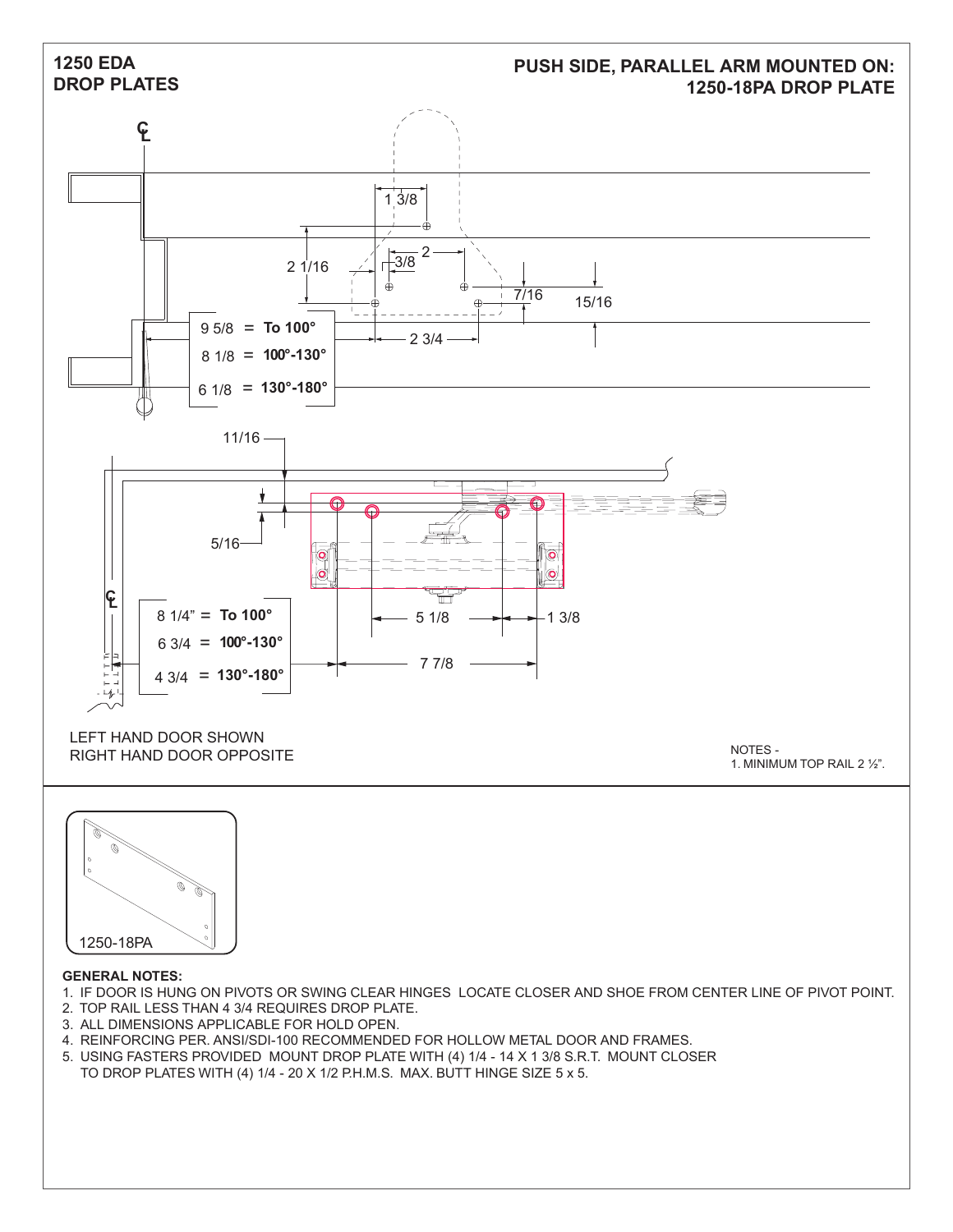